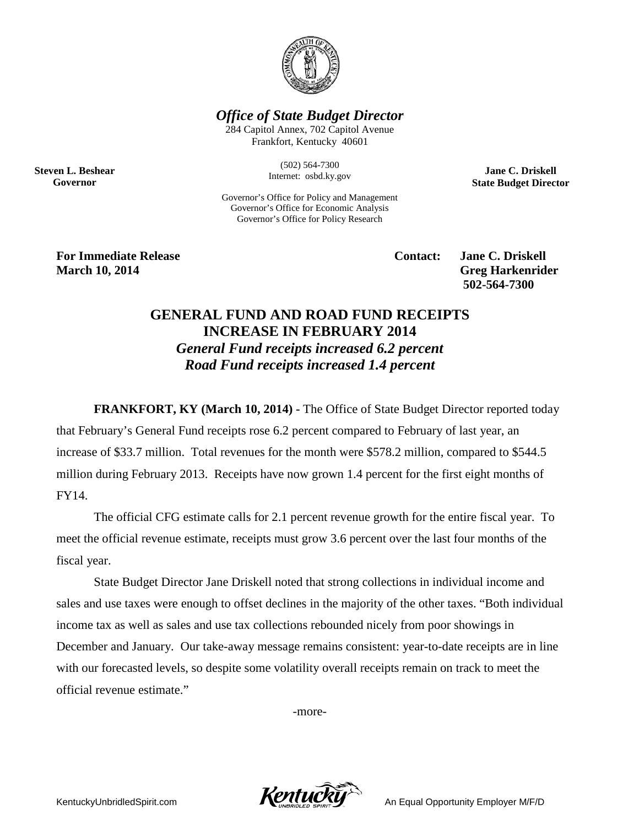

*Office of State Budget Director*

284 Capitol Annex, 702 Capitol Avenue Frankfort, Kentucky 40601

> (502) 564-7300 Internet: osbd.ky.gov

Governor's Office for Policy and Management Governor's Office for Economic Analysis Governor's Office for Policy Research

**Jane C. Driskell State Budget Director**

**For Immediate Release Contact: Jane C. Driskell March 10, 2014** Greg Harkenrider

**Steven L. Beshear Governor**

**502-564-7300** 

## **GENERAL FUND AND ROAD FUND RECEIPTS INCREASE IN FEBRUARY 2014** *General Fund receipts increased 6.2 percent Road Fund receipts increased 1.4 percent*

**FRANKFORT, KY (March 10, 2014) -** The Office of State Budget Director reported today that February's General Fund receipts rose 6.2 percent compared to February of last year, an increase of \$33.7 million. Total revenues for the month were \$578.2 million, compared to \$544.5 million during February 2013. Receipts have now grown 1.4 percent for the first eight months of FY14.

The official CFG estimate calls for 2.1 percent revenue growth for the entire fiscal year. To meet the official revenue estimate, receipts must grow 3.6 percent over the last four months of the fiscal year.

State Budget Director Jane Driskell noted that strong collections in individual income and sales and use taxes were enough to offset declines in the majority of the other taxes. "Both individual income tax as well as sales and use tax collections rebounded nicely from poor showings in December and January. Our take-away message remains consistent: year-to-date receipts are in line with our forecasted levels, so despite some volatility overall receipts remain on track to meet the official revenue estimate."

-more-

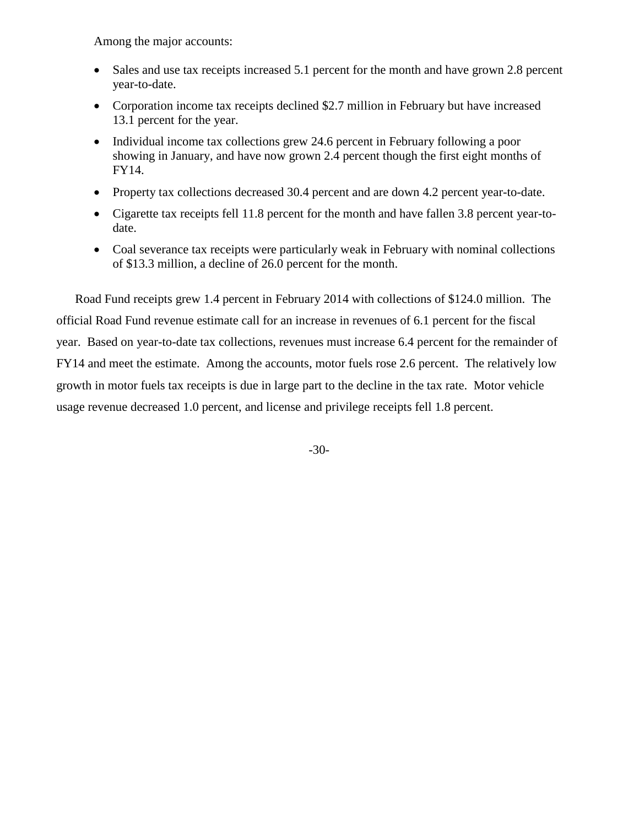Among the major accounts:

- Sales and use tax receipts increased 5.1 percent for the month and have grown 2.8 percent year-to-date.
- Corporation income tax receipts declined \$2.7 million in February but have increased 13.1 percent for the year.
- Individual income tax collections grew 24.6 percent in February following a poor showing in January, and have now grown 2.4 percent though the first eight months of FY14.
- Property tax collections decreased 30.4 percent and are down 4.2 percent year-to-date.
- Cigarette tax receipts fell 11.8 percent for the month and have fallen 3.8 percent year-todate.
- Coal severance tax receipts were particularly weak in February with nominal collections of \$13.3 million, a decline of 26.0 percent for the month.

Road Fund receipts grew 1.4 percent in February 2014 with collections of \$124.0 million. The official Road Fund revenue estimate call for an increase in revenues of 6.1 percent for the fiscal year. Based on year-to-date tax collections, revenues must increase 6.4 percent for the remainder of FY14 and meet the estimate. Among the accounts, motor fuels rose 2.6 percent. The relatively low growth in motor fuels tax receipts is due in large part to the decline in the tax rate. Motor vehicle usage revenue decreased 1.0 percent, and license and privilege receipts fell 1.8 percent.

-30-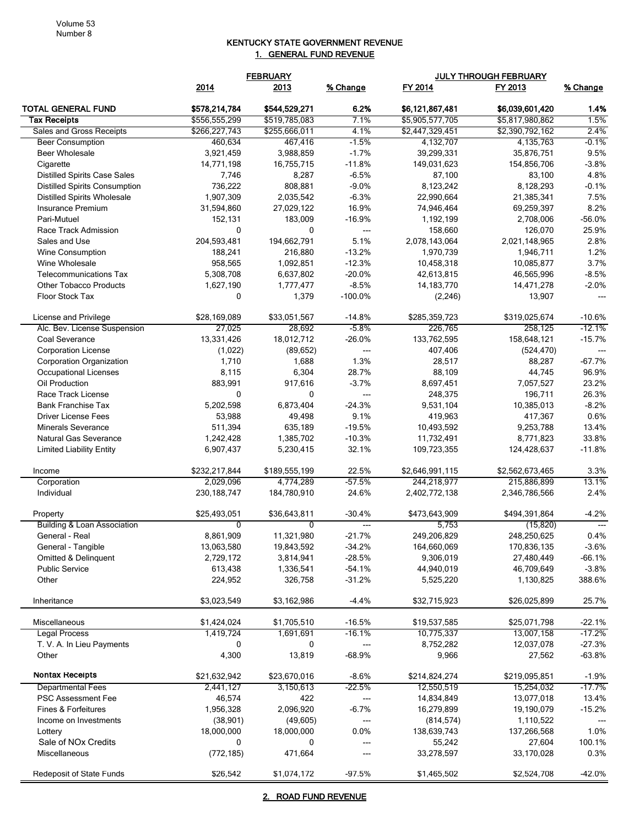## KENTUCKY STATE GOVERNMENT REVENUE 1. GENERAL FUND REVENUE

|                                                  | <b>FEBRUARY</b>                |                                |                | <b>JULY THROUGH FEBRUARY</b>       |                                    |              |  |
|--------------------------------------------------|--------------------------------|--------------------------------|----------------|------------------------------------|------------------------------------|--------------|--|
|                                                  | 2014                           | 2013                           | % Change       | FY 2014                            | FY 2013                            | % Change     |  |
| <b>TOTAL GENERAL FUND</b><br><b>Tax Receipts</b> | \$578,214,784<br>\$556,555,299 | \$544,529,271<br>\$519,785,083 | 6.2%<br>7.1%   | \$6,121,867,481<br>\$5,905,577,705 | \$6,039,601,420<br>\$5,817,980,862 | 1.4%<br>1.5% |  |
| Sales and Gross Receipts                         | \$266,227,743                  | \$255,666,011                  | 4.1%           | \$2,447,329,451                    | \$2,390,792,162                    | 2.4%         |  |
| <b>Beer Consumption</b>                          | 460,634                        | 467,416                        | $-1.5%$        | 4,132,707                          | 4,135,763                          | $-0.1%$      |  |
| <b>Beer Wholesale</b>                            | 3,921,459                      | 3,988,859                      | $-1.7%$        | 39,299,331                         | 35,876,751                         | 9.5%         |  |
| Cigarette                                        | 14,771,198                     | 16,755,715                     | $-11.8%$       | 149,031,623                        | 154,856,706                        | $-3.8%$      |  |
| <b>Distilled Spirits Case Sales</b>              | 7,746                          | 8,287                          | $-6.5%$        | 87,100                             | 83,100                             | 4.8%         |  |
| <b>Distilled Spirits Consumption</b>             | 736,222                        | 808,881                        | $-9.0%$        | 8,123,242                          | 8,128,293                          | $-0.1%$      |  |
| Distilled Spirits Wholesale                      |                                | 2,035,542                      | $-6.3%$        |                                    |                                    | 7.5%         |  |
|                                                  | 1,907,309                      |                                |                | 22,990,664                         | 21,385,341                         |              |  |
| Insurance Premium                                | 31,594,860                     | 27,029,122                     | 16.9%          | 74,946,464                         | 69,259,397                         | 8.2%         |  |
| Pari-Mutuel                                      | 152,131                        | 183,009                        | $-16.9%$       | 1,192,199                          | 2,708,006                          | $-56.0%$     |  |
| Race Track Admission                             | $\Omega$                       | 0                              | ---            | 158,660                            | 126,070                            | 25.9%        |  |
| Sales and Use                                    | 204,593,481                    | 194,662,791                    | 5.1%           | 2,078,143,064                      | 2,021,148,965                      | 2.8%         |  |
| <b>Wine Consumption</b>                          | 188,241                        | 216,880                        | $-13.2%$       | 1,970,739                          | 1,946,711                          | 1.2%         |  |
| Wine Wholesale                                   | 958,565                        | 1,092,851                      | $-12.3%$       | 10,458,318                         | 10,085,877                         | 3.7%         |  |
| <b>Telecommunications Tax</b>                    | 5,308,708                      | 6,637,802                      | $-20.0%$       | 42,613,815                         | 46,565,996                         | $-8.5%$      |  |
| <b>Other Tobacco Products</b>                    | 1,627,190                      | 1,777,477                      | $-8.5%$        | 14, 183, 770                       | 14,471,278                         | $-2.0%$      |  |
| Floor Stock Tax                                  | 0                              | 1,379                          | $-100.0%$      | (2, 246)                           | 13,907                             | $---$        |  |
| License and Privilege                            | \$28,169,089                   | \$33,051,567                   | $-14.8%$       | \$285,359,723                      | \$319,025,674                      | $-10.6%$     |  |
| Alc. Bev. License Suspension                     | 27,025                         | 28,692                         | $-5.8\%$       | 226,765                            | 258,125                            | $-12.1%$     |  |
| Coal Severance                                   | 13,331,426                     | 18,012,712                     | $-26.0%$       | 133,762,595                        | 158,648,121                        | $-15.7%$     |  |
| <b>Corporation License</b>                       | (1,022)                        | (89, 652)                      | ---            | 407,406                            | (524, 470)                         |              |  |
| <b>Corporation Organization</b>                  | 1,710                          | 1,688                          | 1.3%           | 28,517                             | 88,287                             | $-67.7%$     |  |
| <b>Occupational Licenses</b>                     | 8,115                          | 6,304                          | 28.7%          | 88,109                             | 44,745                             | 96.9%        |  |
| Oil Production                                   | 883,991                        | 917,616                        | $-3.7%$        | 8,697,451                          | 7,057,527                          | 23.2%        |  |
| Race Track License                               | 0                              | 0                              | $\overline{a}$ | 248,375                            | 196,711                            | 26.3%        |  |
| <b>Bank Franchise Tax</b>                        | 5,202,598                      | 6,873,404                      | $-24.3%$       | 9,531,104                          | 10,385,013                         | $-8.2%$      |  |
| <b>Driver License Fees</b>                       | 53,988                         | 49,498                         | 9.1%           | 419,963                            | 417,367                            | 0.6%         |  |
| <b>Minerals Severance</b>                        | 511,394                        | 635,189                        | $-19.5%$       | 10,493,592                         | 9,253,788                          | 13.4%        |  |
| <b>Natural Gas Severance</b>                     | 1,242,428                      | 1,385,702                      | $-10.3%$       | 11,732,491                         | 8,771,823                          | 33.8%        |  |
|                                                  |                                |                                |                |                                    |                                    |              |  |
| <b>Limited Liability Entity</b>                  | 6,907,437                      | 5,230,415                      | 32.1%          | 109,723,355                        | 124,428,637                        | $-11.8%$     |  |
| Income                                           | \$232,217,844                  | \$189,555,199                  | 22.5%          | \$2,646,991,115                    | \$2,562,673,465                    | 3.3%         |  |
| Corporation                                      | 2,029,096                      | 4,774,289                      | $-57.5%$       | 244,218,977                        | 215,886,899                        | 13.1%        |  |
| Individual                                       | 230, 188, 747                  | 184,780,910                    | 24.6%          | 2,402,772,138                      | 2,346,786,566                      | 2.4%         |  |
| Property                                         | \$25,493,051                   | \$36,643,811                   | $-30.4%$       | \$473,643,909                      | \$494,391,864                      | $-4.2%$      |  |
| <b>Building &amp; Loan Association</b>           | 0                              | 0                              | ---            | 5,753                              | (15, 820)                          | $---$        |  |
| General - Real                                   | 8,861,909                      | 11,321,980                     | $-21.7%$       | 249,206,829                        | 248,250,625                        | 0.4%         |  |
| General - Tangible                               | 13,063,580                     | 19,843,592                     | $-34.2%$       | 164,660,069                        | 170,836,135                        | $-3.6%$      |  |
| <b>Omitted &amp; Delinquent</b>                  | 2,729,172                      | 3,814,941                      | $-28.5%$       | 9,306,019                          | 27,480,449                         | $-66.1%$     |  |
| <b>Public Service</b>                            | 613,438                        | 1,336,541                      | $-54.1%$       | 44,940,019                         | 46,709,649                         | $-3.8%$      |  |
| Other                                            | 224,952                        | 326,758                        | $-31.2%$       | 5,525,220                          | 1,130,825                          | 388.6%       |  |
| Inheritance                                      | \$3,023,549                    | \$3,162,986                    | $-4.4%$        | \$32,715,923                       | \$26,025,899                       | 25.7%        |  |
| Miscellaneous                                    | \$1,424,024                    | \$1,705,510                    | $-16.5%$       | \$19,537,585                       | \$25,071,798                       | $-22.1%$     |  |
| <b>Legal Process</b>                             | 1,419,724                      | 1,691,691                      | $-16.1%$       | 10,775,337                         | 13,007,158                         | $-17.2%$     |  |
| T. V. A. In Lieu Payments                        | 0                              | 0                              | ---            | 8,752,282                          | 12,037,078                         | $-27.3%$     |  |
| Other                                            | 4,300                          | 13,819                         | $-68.9%$       | 9,966                              | 27,562                             | $-63.8%$     |  |
| Nontax Receipts                                  | \$21,632,942                   | \$23,670,016                   | $-8.6%$        | \$214,824,274                      | \$219,095,851                      | $-1.9%$      |  |
| <b>Departmental Fees</b>                         | 2,441,127                      | 3,150,613                      | -22.5%         | 12,550,519                         | 15,254,032                         | $-17.7%$     |  |
| <b>PSC Assessment Fee</b>                        | 46,574                         | 422                            | ---            | 14,834,849                         | 13,077,018                         | 13.4%        |  |
| Fines & Forfeitures                              | 1,956,328                      | 2,096,920                      | $-6.7%$        | 16,279,899                         | 19,190,079                         | $-15.2%$     |  |
| Income on Investments                            | (38, 901)                      | (49, 605)                      | ---            | (814, 574)                         | 1,110,522                          |              |  |
| Lottery                                          | 18,000,000                     | 18,000,000                     | 0.0%           | 138,639,743                        | 137,266,568                        | 1.0%         |  |
| Sale of NO <sub>x</sub> Credits                  | 0                              | 0                              | ---            | 55,242                             | 27,604                             | 100.1%       |  |
| Miscellaneous                                    | (772, 185)                     | 471,664                        | $\overline{a}$ | 33,278,597                         | 33,170,028                         | 0.3%         |  |
| Redeposit of State Funds                         | \$26,542                       | \$1,074,172                    | $-97.5%$       | \$1,465,502                        | \$2,524,708                        | $-42.0%$     |  |

## 2. ROAD FUND REVENUE